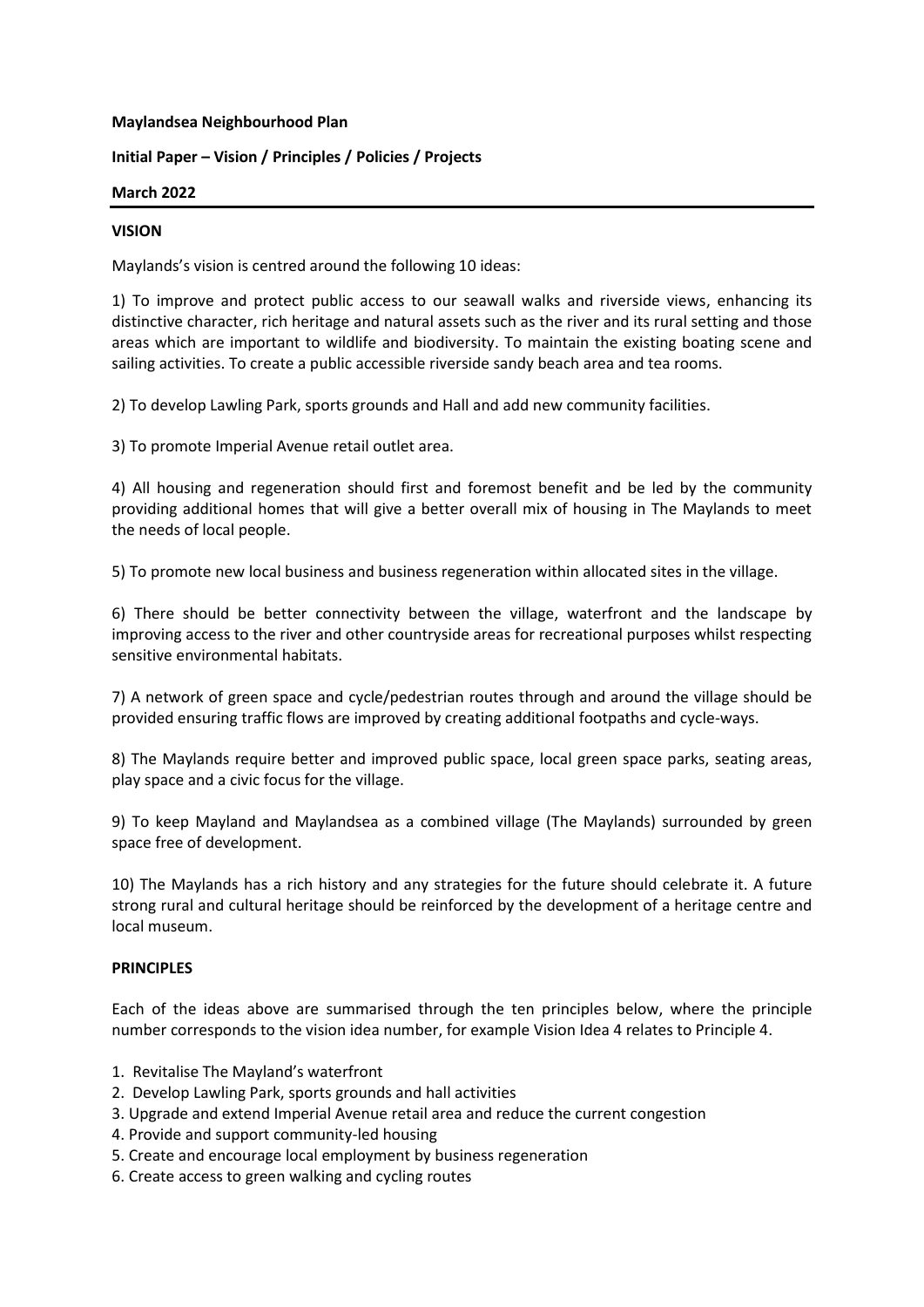### **Maylandsea Neighbourhood Plan**

## **Initial Paper – Vision / Principles / Policies / Projects**

### **March 2022**

### **VISION**

Maylands's vision is centred around the following 10 ideas:

1) To improve and protect public access to our seawall walks and riverside views, enhancing its distinctive character, rich heritage and natural assets such as the river and its rural setting and those areas which are important to wildlife and biodiversity. To maintain the existing boating scene and sailing activities. To create a public accessible riverside sandy beach area and tea rooms.

2) To develop Lawling Park, sports grounds and Hall and add new community facilities.

3) To promote Imperial Avenue retail outlet area.

4) All housing and regeneration should first and foremost benefit and be led by the community providing additional homes that will give a better overall mix of housing in The Maylands to meet the needs of local people.

5) To promote new local business and business regeneration within allocated sites in the village.

6) There should be better connectivity between the village, waterfront and the landscape by improving access to the river and other countryside areas for recreational purposes whilst respecting sensitive environmental habitats.

7) A network of green space and cycle/pedestrian routes through and around the village should be provided ensuring traffic flows are improved by creating additional footpaths and cycle-ways.

8) The Maylands require better and improved public space, local green space parks, seating areas, play space and a civic focus for the village.

9) To keep Mayland and Maylandsea as a combined village (The Maylands) surrounded by green space free of development.

10) The Maylands has a rich history and any strategies for the future should celebrate it. A future strong rural and cultural heritage should be reinforced by the development of a heritage centre and local museum.

## **PRINCIPLES**

Each of the ideas above are summarised through the ten principles below, where the principle number corresponds to the vision idea number, for example Vision Idea 4 relates to Principle 4.

- 1. Revitalise The Mayland's waterfront
- 2. Develop Lawling Park, sports grounds and hall activities
- 3. Upgrade and extend Imperial Avenue retail area and reduce the current congestion
- 4. Provide and support community-led housing
- 5. Create and encourage local employment by business regeneration
- 6. Create access to green walking and cycling routes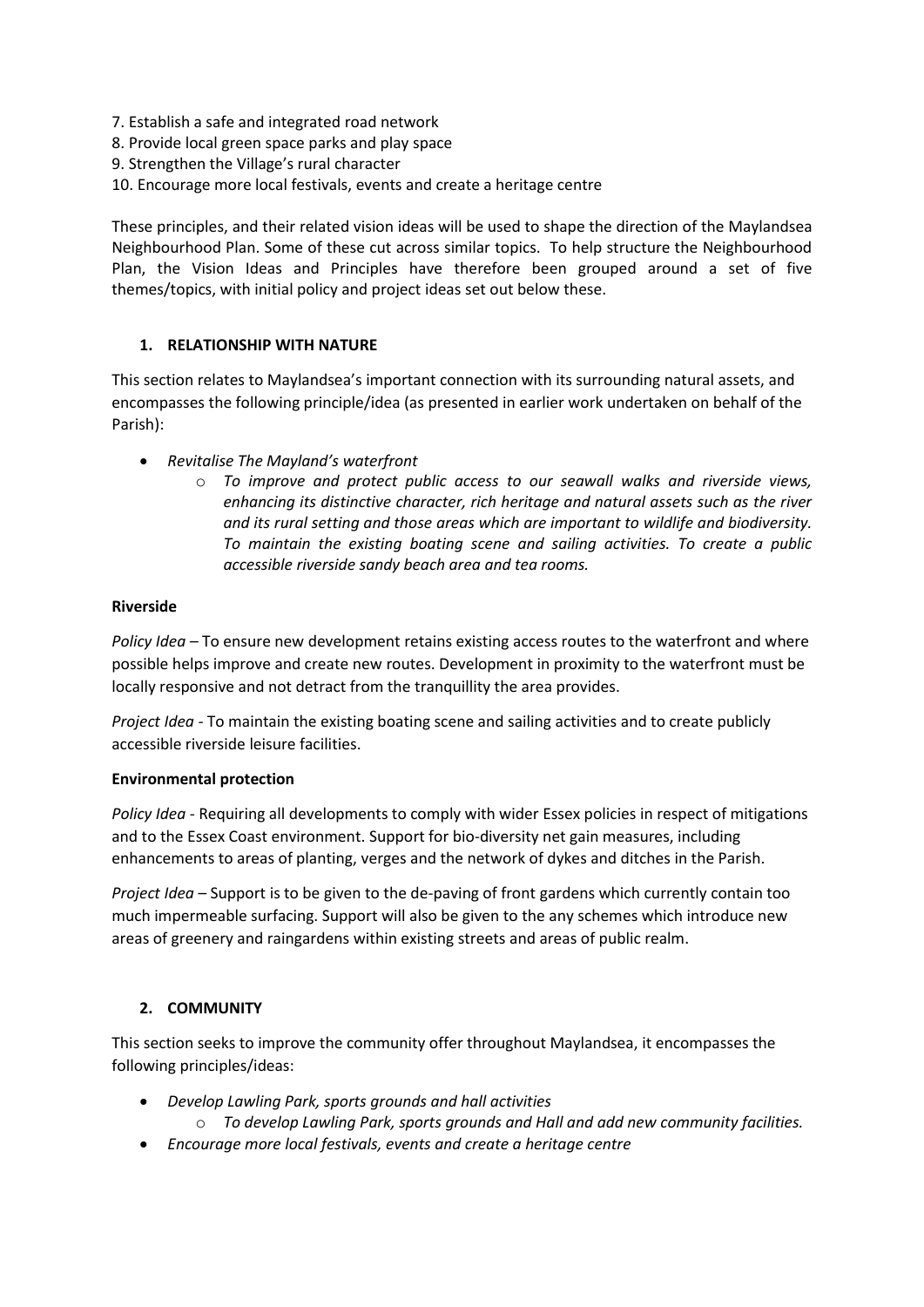- 7. Establish a safe and integrated road network
- 8. Provide local green space parks and play space
- 9. Strengthen the Village's rural character
- 10. Encourage more local festivals, events and create a heritage centre

These principles, and their related vision ideas will be used to shape the direction of the Maylandsea Neighbourhood Plan. Some of these cut across similar topics. To help structure the Neighbourhood Plan, the Vision Ideas and Principles have therefore been grouped around a set of five themes/topics, with initial policy and project ideas set out below these.

## **1. RELATIONSHIP WITH NATURE**

This section relates to Maylandsea's important connection with its surrounding natural assets, and encompasses the following principle/idea (as presented in earlier work undertaken on behalf of the Parish):

- *Revitalise The Mayland's waterfront*
	- o *To improve and protect public access to our seawall walks and riverside views, enhancing its distinctive character, rich heritage and natural assets such as the river and its rural setting and those areas which are important to wildlife and biodiversity. To maintain the existing boating scene and sailing activities. To create a public accessible riverside sandy beach area and tea rooms.*

## **Riverside**

*Policy Idea –* To ensure new development retains existing access routes to the waterfront and where possible helps improve and create new routes. Development in proximity to the waterfront must be locally responsive and not detract from the tranquillity the area provides.

*Project Idea -* To maintain the existing boating scene and sailing activities and to create publicly accessible riverside leisure facilities.

## **Environmental protection**

*Policy Idea -* Requiring all developments to comply with wider Essex policies in respect of mitigations and to the Essex Coast environment. Support for bio-diversity net gain measures, including enhancements to areas of planting, verges and the network of dykes and ditches in the Parish.

*Project Idea* – Support is to be given to the de-paving of front gardens which currently contain too much impermeable surfacing. Support will also be given to the any schemes which introduce new areas of greenery and raingardens within existing streets and areas of public realm.

# **2. COMMUNITY**

This section seeks to improve the community offer throughout Maylandsea, it encompasses the following principles/ideas:

- *Develop Lawling Park, sports grounds and hall activities*
	- o *To develop Lawling Park, sports grounds and Hall and add new community facilities.*
- *Encourage more local festivals, events and create a heritage centre*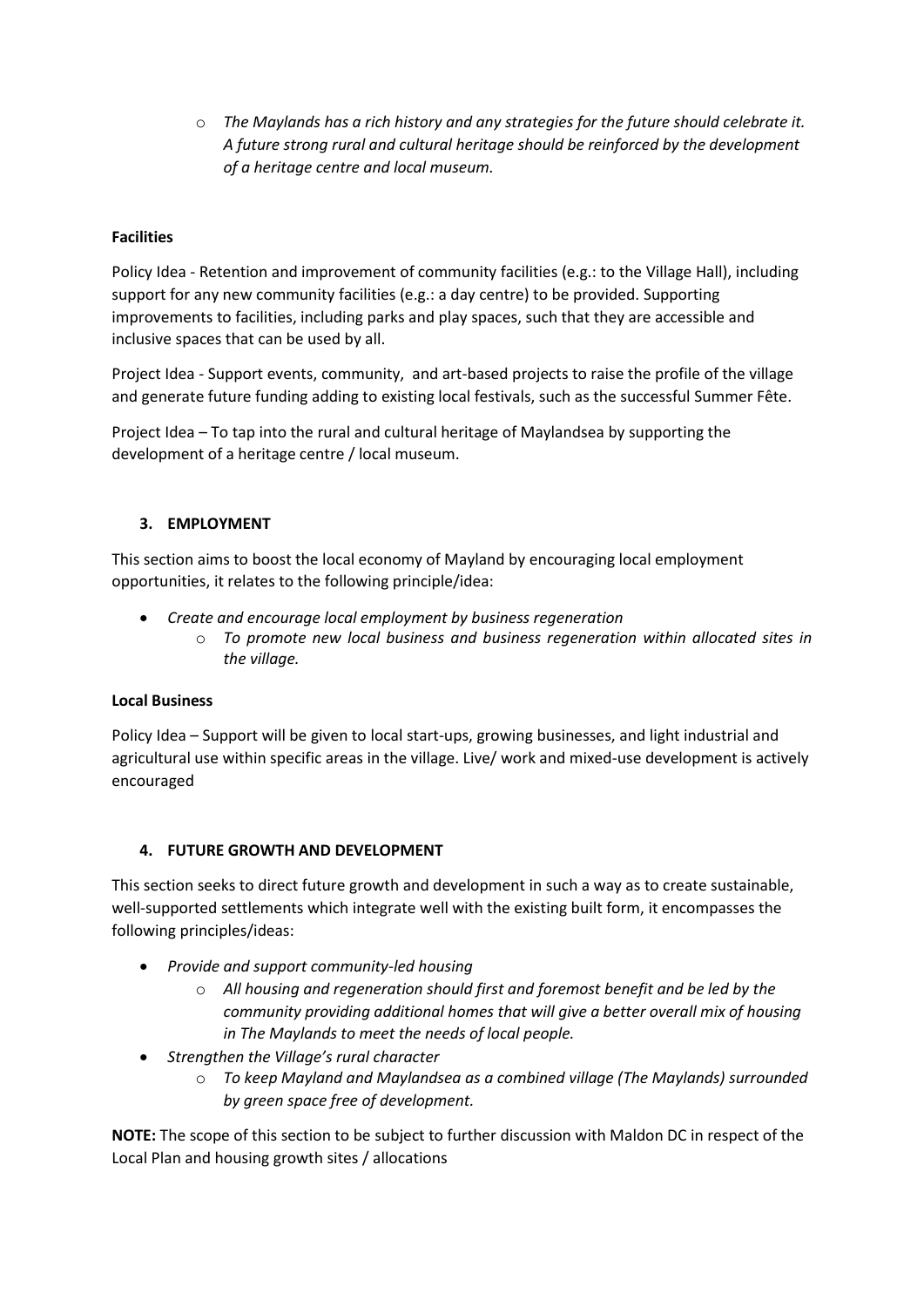o *The Maylands has a rich history and any strategies for the future should celebrate it. A future strong rural and cultural heritage should be reinforced by the development of a heritage centre and local museum.*

# **Facilities**

Policy Idea - Retention and improvement of community facilities (e.g.: to the Village Hall), including support for any new community facilities (e.g.: a day centre) to be provided. Supporting improvements to facilities, including parks and play spaces, such that they are accessible and inclusive spaces that can be used by all.

Project Idea - Support events, community, and art-based projects to raise the profile of the village and generate future funding adding to existing local festivals, such as the successful Summer Fête.

Project Idea – To tap into the rural and cultural heritage of Maylandsea by supporting the development of a heritage centre / local museum.

## **3. EMPLOYMENT**

This section aims to boost the local economy of Mayland by encouraging local employment opportunities, it relates to the following principle/idea:

- *Create and encourage local employment by business regeneration*
	- o *To promote new local business and business regeneration within allocated sites in the village.*

## **Local Business**

Policy Idea – Support will be given to local start-ups, growing businesses, and light industrial and agricultural use within specific areas in the village. Live/ work and mixed-use development is actively encouraged

## **4. FUTURE GROWTH AND DEVELOPMENT**

This section seeks to direct future growth and development in such a way as to create sustainable, well-supported settlements which integrate well with the existing built form, it encompasses the following principles/ideas:

- *Provide and support community-led housing*
	- o *All housing and regeneration should first and foremost benefit and be led by the community providing additional homes that will give a better overall mix of housing in The Maylands to meet the needs of local people.*
- *Strengthen the Village's rural character*
	- o *To keep Mayland and Maylandsea as a combined village (The Maylands) surrounded by green space free of development.*

**NOTE:** The scope of this section to be subject to further discussion with Maldon DC in respect of the Local Plan and housing growth sites / allocations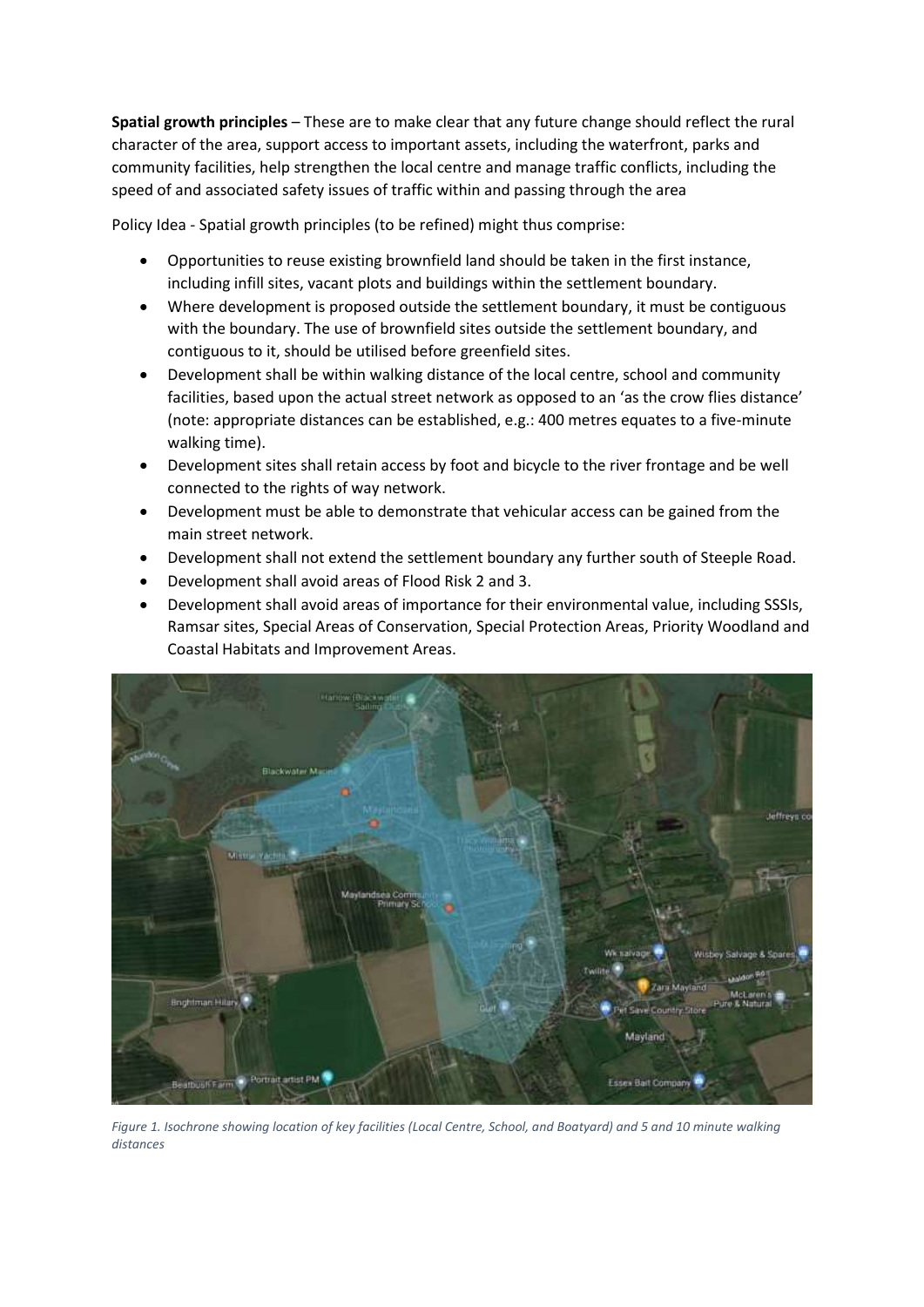**Spatial growth principles** – These are to make clear that any future change should reflect the rural character of the area, support access to important assets, including the waterfront, parks and community facilities, help strengthen the local centre and manage traffic conflicts, including the speed of and associated safety issues of traffic within and passing through the area

Policy Idea - Spatial growth principles (to be refined) might thus comprise:

- Opportunities to reuse existing brownfield land should be taken in the first instance, including infill sites, vacant plots and buildings within the settlement boundary.
- Where development is proposed outside the settlement boundary, it must be contiguous with the boundary. The use of brownfield sites outside the settlement boundary, and contiguous to it, should be utilised before greenfield sites.
- Development shall be within walking distance of the local centre, school and community facilities, based upon the actual street network as opposed to an 'as the crow flies distance' (note: appropriate distances can be established, e.g.: 400 metres equates to a five-minute walking time).
- Development sites shall retain access by foot and bicycle to the river frontage and be well connected to the rights of way network.
- Development must be able to demonstrate that vehicular access can be gained from the main street network.
- Development shall not extend the settlement boundary any further south of Steeple Road.
- Development shall avoid areas of Flood Risk 2 and 3.
- Development shall avoid areas of importance for their environmental value, including SSSIs, Ramsar sites, Special Areas of Conservation, Special Protection Areas, Priority Woodland and Coastal Habitats and Improvement Areas.



*Figure 1. Isochrone showing location of key facilities (Local Centre, School, and Boatyard) and 5 and 10 minute walking distances*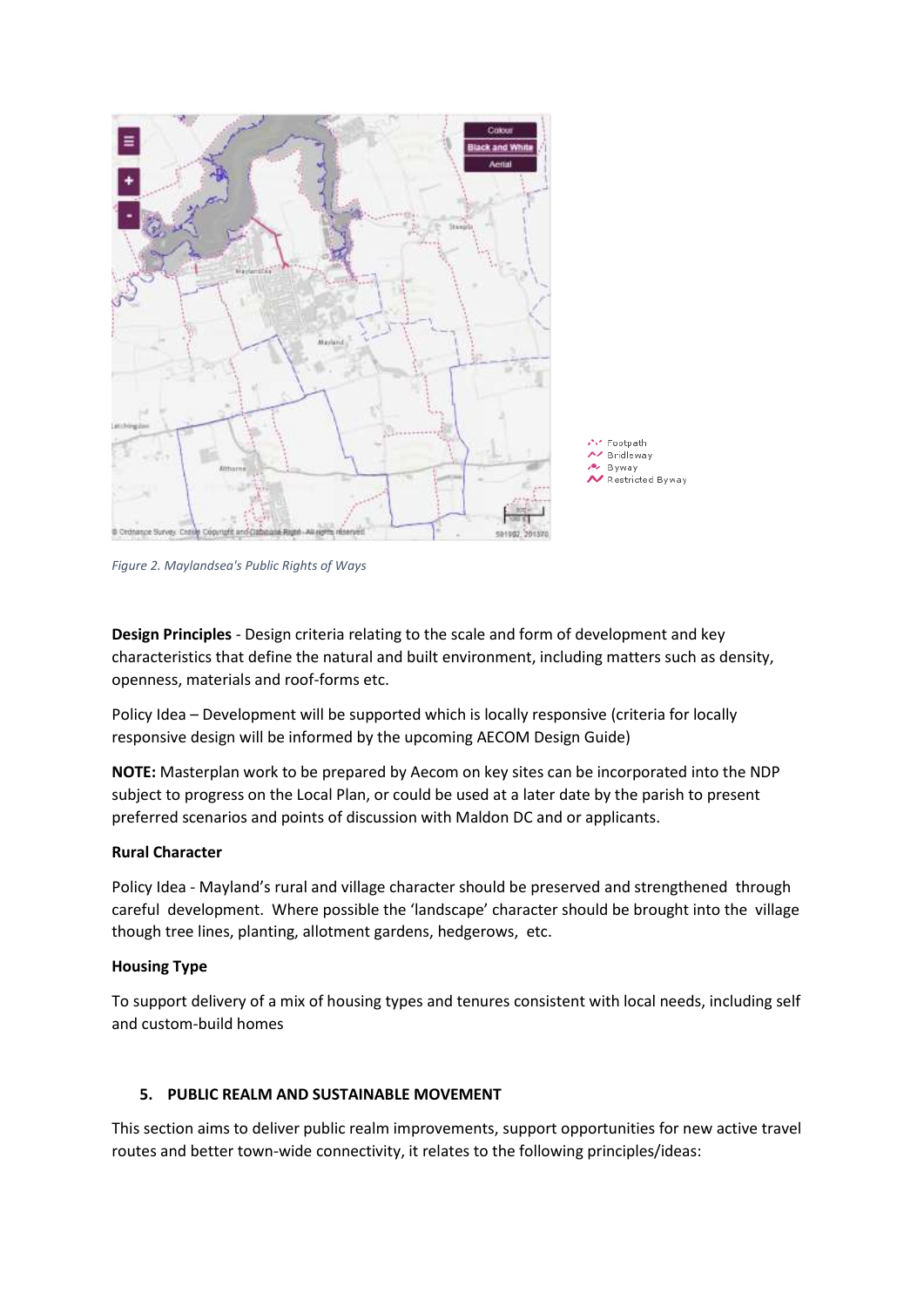

*Figure 2. Maylandsea's Public Rights of Ways*

**Design Principles** - Design criteria relating to the scale and form of development and key characteristics that define the natural and built environment, including matters such as density, openness, materials and roof-forms etc.

Policy Idea – Development will be supported which is locally responsive (criteria for locally responsive design will be informed by the upcoming AECOM Design Guide)

**NOTE:** Masterplan work to be prepared by Aecom on key sites can be incorporated into the NDP subject to progress on the Local Plan, or could be used at a later date by the parish to present preferred scenarios and points of discussion with Maldon DC and or applicants.

## **Rural Character**

Policy Idea - Mayland's rural and village character should be preserved and strengthened through careful development. Where possible the 'landscape' character should be brought into the village though tree lines, planting, allotment gardens, hedgerows, etc.

## **Housing Type**

To support delivery of a mix of housing types and tenures consistent with local needs, including self and custom-build homes

## **5. PUBLIC REALM AND SUSTAINABLE MOVEMENT**

This section aims to deliver public realm improvements, support opportunities for new active travel routes and better town-wide connectivity, it relates to the following principles/ideas: